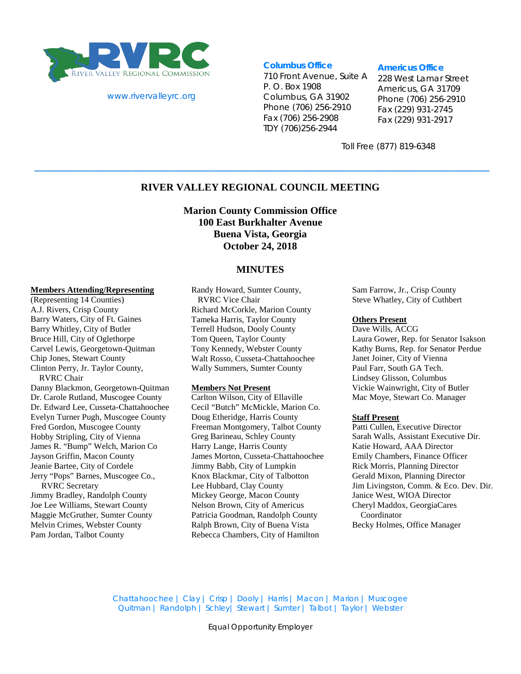

#### www.rivervalleyrc.org

#### **Columbus Office**

710 Front Avenue, Suite A P. O. Box 1908 Columbus, GA 31902 Phone (706) 256-2910 Fax (706) 256-2908 TDY (706)256-2944

#### **Americus Office**

228 West Lamar Street Americus, GA 31709 Phone (706) 256-2910 Fax (229) 931-2745 Fax (229) 931-2917

Toll Free (877) 819-6348

### **RIVER VALLEY REGIONAL COUNCIL MEETING**

**\_\_\_\_\_\_\_\_\_\_\_\_\_\_\_\_\_\_\_\_\_\_\_\_\_\_\_\_\_\_\_\_\_\_\_\_\_\_\_\_\_\_\_\_\_\_\_\_\_\_\_\_\_\_\_\_\_\_\_\_\_\_\_\_\_\_\_\_\_\_\_\_\_\_\_\_\_\_\_\_\_\_\_\_\_\_\_\_\_\_\_\_\_\_\_\_\_\_\_\_\_\_\_\_\_\_\_**

**Marion County Commission Office 100 East Burkhalter Avenue Buena Vista, Georgia October 24, 2018**

#### **MINUTES**

### **Members Attending/Representing**

(Representing 14 Counties) A.J. Rivers, Crisp County Barry Waters, City of Ft. Gaines Barry Whitley, City of Butler Bruce Hill, City of Oglethorpe Carvel Lewis, Georgetown-Quitman Chip Jones, Stewart County Clinton Perry, Jr. Taylor County, RVRC Chair

Danny Blackmon, Georgetown-Quitman Dr. Carole Rutland, Muscogee County Dr. Edward Lee, Cusseta-Chattahoochee Evelyn Turner Pugh, Muscogee County Fred Gordon, Muscogee County Hobby Stripling, City of Vienna James R. "Bump" Welch, Marion Co Jayson Griffin, Macon County Jeanie Bartee, City of Cordele Jerry "Pops" Barnes, Muscogee Co., RVRC Secretary

Jimmy Bradley, Randolph County Joe Lee Williams, Stewart County Maggie McGruther, Sumter County Melvin Crimes, Webster County Pam Jordan, Talbot County

Randy Howard, Sumter County, RVRC Vice Chair Richard McCorkle, Marion County Tameka Harris, Taylor County Terrell Hudson, Dooly County Tom Queen, Taylor County Tony Kennedy, Webster County Walt Rosso, Cusseta-Chattahoochee Wally Summers, Sumter County

#### **Members Not Present**

Carlton Wilson, City of Ellaville Cecil "Butch" McMickle, Marion Co. Doug Etheridge, Harris County Freeman Montgomery, Talbot County Greg Barineau, Schley County Harry Lange, Harris County James Morton, Cusseta-Chattahoochee Jimmy Babb, City of Lumpkin Knox Blackmar, City of Talbotton Lee Hubbard, Clay County Mickey George, Macon County Nelson Brown, City of Americus Patricia Goodman, Randolph County Ralph Brown, City of Buena Vista Rebecca Chambers, City of Hamilton

Sam Farrow, Jr., Crisp County Steve Whatley, City of Cuthbert

#### **Others Present**

Dave Wills, ACCG Laura Gower, Rep. for Senator Isakson Kathy Burns, Rep. for Senator Perdue Janet Joiner, City of Vienna Paul Farr, South GA Tech. Lindsey Glisson, Columbus Vickie Wainwright, City of Butler Mac Moye, Stewart Co. Manager

#### **Staff Present**

Patti Cullen, Executive Director Sarah Walls, Assistant Executive Dir. Katie Howard, AAA Director Emily Chambers, Finance Officer Rick Morris, Planning Director Gerald Mixon, Planning Director Jim Livingston, Comm. & Eco. Dev. Dir. Janice West, WIOA Director Cheryl Maddox, GeorgiaCares Coordinator Becky Holmes, Office Manager

Chattahoochee | Clay | Crisp | Dooly | Harris | Macon | Marion | Muscogee Quitman | Randolph | Schley| Stewart | Sumter | Talbot | Taylor | Webster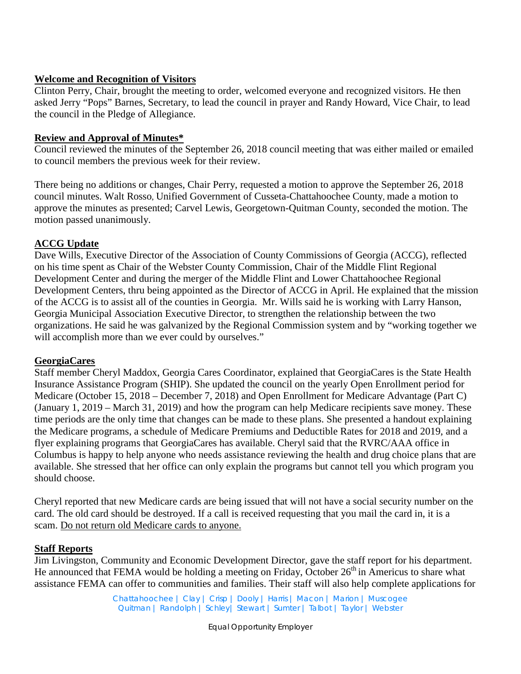### **Welcome and Recognition of Visitors**

Clinton Perry, Chair, brought the meeting to order, welcomed everyone and recognized visitors. He then asked Jerry "Pops" Barnes, Secretary, to lead the council in prayer and Randy Howard, Vice Chair, to lead the council in the Pledge of Allegiance.

## **Review and Approval of Minutes\***

Council reviewed the minutes of the September 26, 2018 council meeting that was either mailed or emailed to council members the previous week for their review.

There being no additions or changes, Chair Perry, requested a motion to approve the September 26, 2018 council minutes. Walt Rosso, Unified Government of Cusseta-Chattahoochee County, made a motion to approve the minutes as presented; Carvel Lewis, Georgetown-Quitman County, seconded the motion. The motion passed unanimously.

## **ACCG Update**

Dave Wills, Executive Director of the Association of County Commissions of Georgia (ACCG), reflected on his time spent as Chair of the Webster County Commission, Chair of the Middle Flint Regional Development Center and during the merger of the Middle Flint and Lower Chattahoochee Regional Development Centers, thru being appointed as the Director of ACCG in April. He explained that the mission of the ACCG is to assist all of the counties in Georgia. Mr. Wills said he is working with Larry Hanson, Georgia Municipal Association Executive Director, to strengthen the relationship between the two organizations. He said he was galvanized by the Regional Commission system and by "working together we will accomplish more than we ever could by ourselves."

# **GeorgiaCares**

Staff member Cheryl Maddox, Georgia Cares Coordinator, explained that GeorgiaCares is the State Health Insurance Assistance Program (SHIP). She updated the council on the yearly Open Enrollment period for Medicare (October 15, 2018 – December 7, 2018) and Open Enrollment for Medicare Advantage (Part C) (January 1, 2019 – March 31, 2019) and how the program can help Medicare recipients save money. These time periods are the only time that changes can be made to these plans. She presented a handout explaining the Medicare programs, a schedule of Medicare Premiums and Deductible Rates for 2018 and 2019, and a flyer explaining programs that GeorgiaCares has available. Cheryl said that the RVRC/AAA office in Columbus is happy to help anyone who needs assistance reviewing the health and drug choice plans that are available. She stressed that her office can only explain the programs but cannot tell you which program you should choose.

Cheryl reported that new Medicare cards are being issued that will not have a social security number on the card. The old card should be destroyed. If a call is received requesting that you mail the card in, it is a scam. Do not return old Medicare cards to anyone.

### **Staff Reports**

Jim Livingston, Community and Economic Development Director, gave the staff report for his department. He announced that FEMA would be holding a meeting on Friday, October  $26<sup>th</sup>$  in Americus to share what assistance FEMA can offer to communities and families. Their staff will also help complete applications for

> Chattahoochee | Clay | Crisp | Dooly | Harris | Macon | Marion | Muscogee Quitman | Randolph | Schley| Stewart | Sumter | Talbot | Taylor | Webster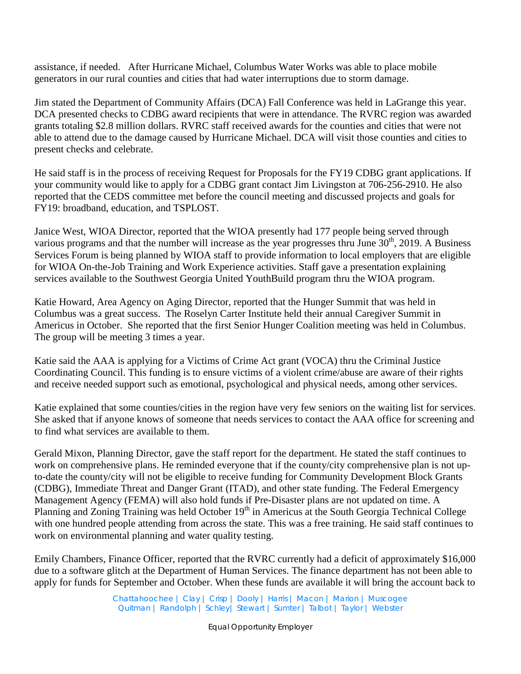assistance, if needed. After Hurricane Michael, Columbus Water Works was able to place mobile generators in our rural counties and cities that had water interruptions due to storm damage.

Jim stated the Department of Community Affairs (DCA) Fall Conference was held in LaGrange this year. DCA presented checks to CDBG award recipients that were in attendance. The RVRC region was awarded grants totaling \$2.8 million dollars. RVRC staff received awards for the counties and cities that were not able to attend due to the damage caused by Hurricane Michael. DCA will visit those counties and cities to present checks and celebrate.

He said staff is in the process of receiving Request for Proposals for the FY19 CDBG grant applications. If your community would like to apply for a CDBG grant contact Jim Livingston at 706-256-2910. He also reported that the CEDS committee met before the council meeting and discussed projects and goals for FY19: broadband, education, and TSPLOST.

Janice West, WIOA Director, reported that the WIOA presently had 177 people being served through various programs and that the number will increase as the year progresses thru June  $30<sup>th</sup>$ , 2019. A Business Services Forum is being planned by WIOA staff to provide information to local employers that are eligible for WIOA On-the-Job Training and Work Experience activities. Staff gave a presentation explaining services available to the Southwest Georgia United YouthBuild program thru the WIOA program.

Katie Howard, Area Agency on Aging Director, reported that the Hunger Summit that was held in Columbus was a great success. The Roselyn Carter Institute held their annual Caregiver Summit in Americus in October. She reported that the first Senior Hunger Coalition meeting was held in Columbus. The group will be meeting 3 times a year.

Katie said the AAA is applying for a Victims of Crime Act grant (VOCA) thru the Criminal Justice Coordinating Council. This funding is to ensure victims of a violent crime/abuse are aware of their rights and receive needed support such as emotional, psychological and physical needs, among other services.

Katie explained that some counties/cities in the region have very few seniors on the waiting list for services. She asked that if anyone knows of someone that needs services to contact the AAA office for screening and to find what services are available to them.

Gerald Mixon, Planning Director, gave the staff report for the department. He stated the staff continues to work on comprehensive plans. He reminded everyone that if the county/city comprehensive plan is not upto-date the county/city will not be eligible to receive funding for Community Development Block Grants (CDBG), Immediate Threat and Danger Grant (ITAD), and other state funding. The Federal Emergency Management Agency (FEMA) will also hold funds if Pre-Disaster plans are not updated on time. A Planning and Zoning Training was held October 19<sup>th</sup> in Americus at the South Georgia Technical College with one hundred people attending from across the state. This was a free training. He said staff continues to work on environmental planning and water quality testing.

Emily Chambers, Finance Officer, reported that the RVRC currently had a deficit of approximately \$16,000 due to a software glitch at the Department of Human Services. The finance department has not been able to apply for funds for September and October. When these funds are available it will bring the account back to

> Chattahoochee | Clay | Crisp | Dooly | Harris | Macon | Marion | Muscogee Quitman | Randolph | Schley| Stewart | Sumter | Talbot | Taylor | Webster

> > Equal Opportunity Employer